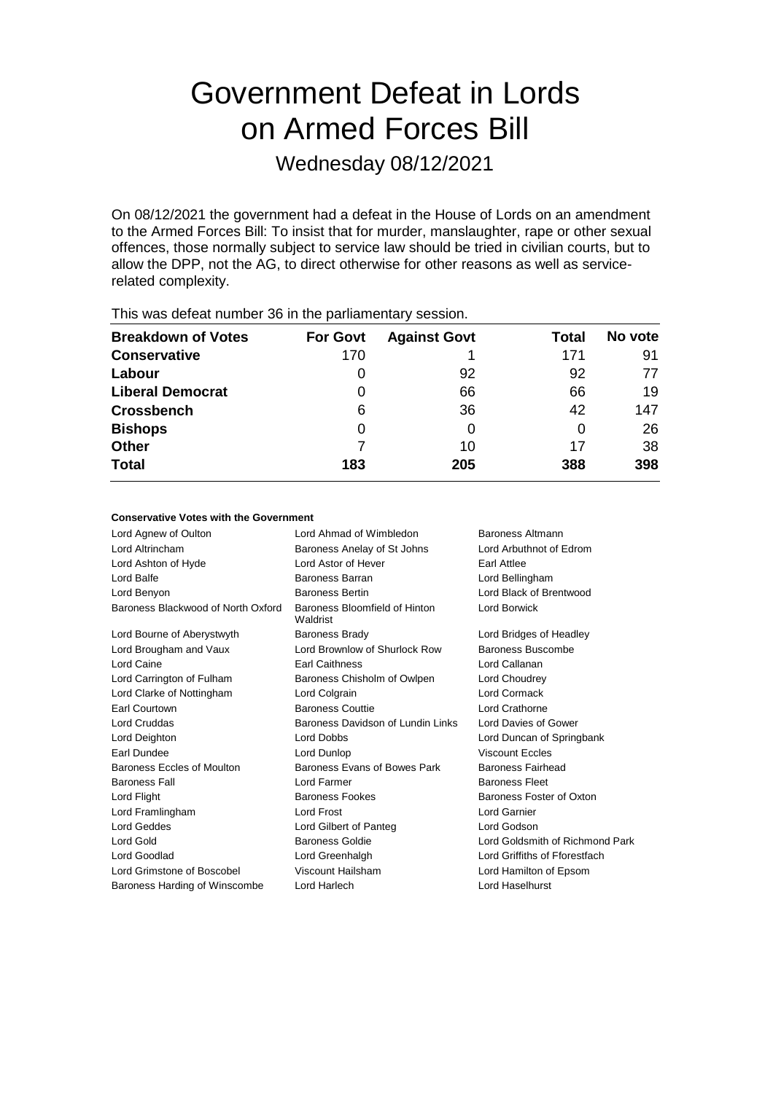# Government Defeat in Lords on Armed Forces Bill

Wednesday 08/12/2021

On 08/12/2021 the government had a defeat in the House of Lords on an amendment to the Armed Forces Bill: To insist that for murder, manslaughter, rape or other sexual offences, those normally subject to service law should be tried in civilian courts, but to allow the DPP, not the AG, to direct otherwise for other reasons as well as servicerelated complexity.

| This was abloat harmoor oo in the parliamentary cooplem. |                 |                     |       |         |  |
|----------------------------------------------------------|-----------------|---------------------|-------|---------|--|
| <b>Breakdown of Votes</b>                                | <b>For Govt</b> | <b>Against Govt</b> | Total | No vote |  |
| <b>Conservative</b>                                      | 170             |                     | 171   | 91      |  |
| Labour                                                   |                 | 92                  | 92    | 77      |  |
| <b>Liberal Democrat</b>                                  | 0               | 66                  | 66    | 19      |  |
| <b>Crossbench</b>                                        | 6               | 36                  | 42    | 147     |  |
| <b>Bishops</b>                                           | 0               | O                   | O     | 26      |  |
| <b>Other</b>                                             |                 | 10                  | 17    | 38      |  |
| <b>Total</b>                                             | 183             | 205                 | 388   | 398     |  |
|                                                          |                 |                     |       |         |  |

This was defeat number 36 in the parliamentary session.

#### **Conservative Votes with the Government**

| Lord Agnew of Oulton               | Lord Ahmad of Wimbledon                   | Baroness Altmann                |
|------------------------------------|-------------------------------------------|---------------------------------|
| Lord Altrincham                    | Baroness Anelay of St Johns               | Lord Arbuthnot of Edrom         |
| Lord Ashton of Hyde                | Lord Astor of Hever                       | Earl Attlee                     |
| Lord Balfe                         | Baroness Barran                           | Lord Bellingham                 |
| Lord Benyon                        | <b>Baroness Bertin</b>                    | Lord Black of Brentwood         |
| Baroness Blackwood of North Oxford | Baroness Bloomfield of Hinton<br>Waldrist | Lord Borwick                    |
| Lord Bourne of Aberystwyth         | <b>Baroness Brady</b>                     | Lord Bridges of Headley         |
| Lord Brougham and Vaux             | Lord Brownlow of Shurlock Row             | Baroness Buscombe               |
| Lord Caine                         | <b>Earl Caithness</b>                     | Lord Callanan                   |
| Lord Carrington of Fulham          | Baroness Chisholm of Owlpen               | Lord Choudrey                   |
| Lord Clarke of Nottingham          | Lord Colgrain                             | Lord Cormack                    |
| Earl Courtown                      | <b>Baroness Couttie</b>                   | Lord Crathorne                  |
| <b>Lord Cruddas</b>                | Baroness Davidson of Lundin Links         | Lord Davies of Gower            |
| Lord Deighton                      | Lord Dobbs                                | Lord Duncan of Springbank       |
| Earl Dundee                        | Lord Dunlop                               | <b>Viscount Eccles</b>          |
| Baroness Eccles of Moulton         | Baroness Evans of Bowes Park              | <b>Baroness Fairhead</b>        |
| <b>Baroness Fall</b>               | Lord Farmer                               | <b>Baroness Fleet</b>           |
| Lord Flight                        | Baroness Fookes                           | Baroness Foster of Oxton        |
| Lord Framlingham                   | Lord Frost                                | <b>Lord Garnier</b>             |
| Lord Geddes                        | Lord Gilbert of Panteg                    | Lord Godson                     |
| Lord Gold                          | <b>Baroness Goldie</b>                    | Lord Goldsmith of Richmond Park |
| Lord Goodlad                       | Lord Greenhalgh                           | Lord Griffiths of Fforestfach   |
| Lord Grimstone of Boscobel         | Viscount Hailsham                         | Lord Hamilton of Epsom          |
| Baroness Harding of Winscombe      | Lord Harlech                              | Lord Haselhurst                 |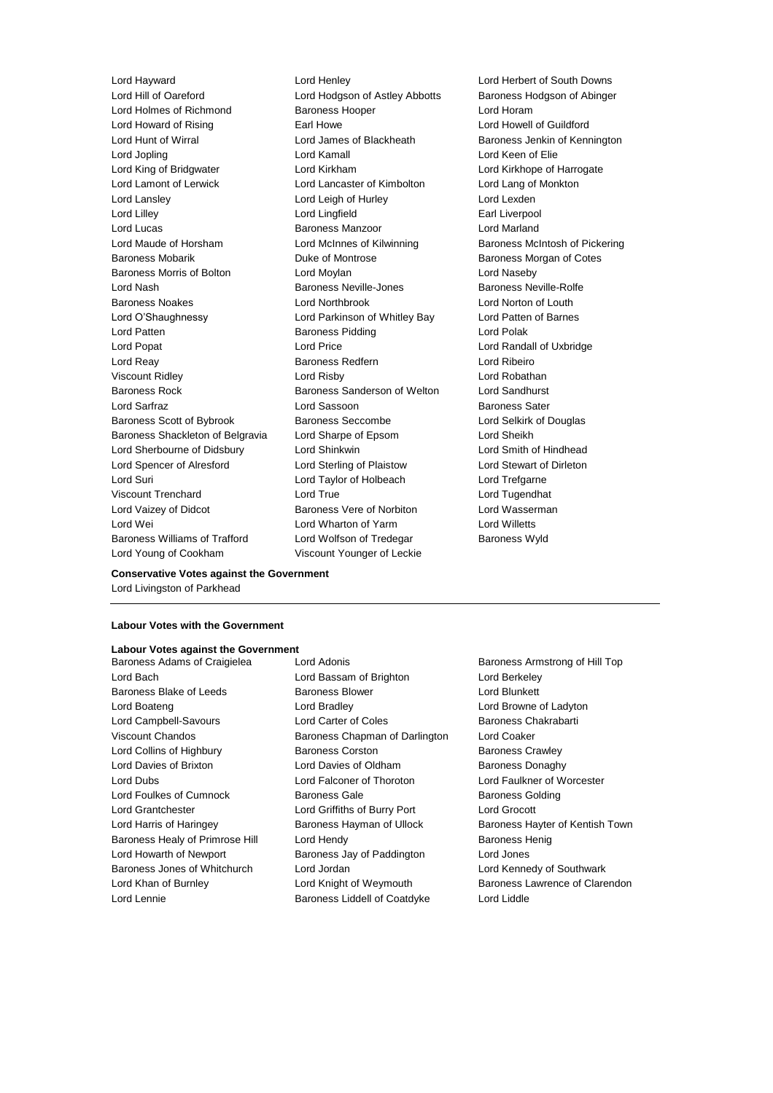Lord Hill of Oareford Lord Hodgson of Astley Abbotts Baroness Hodgson of Abinger Lord Holmes of Richmond Baroness Hooper Lord Horam Lord Howard of Rising Earl Howe Lord Howell of Guildford Lord Hunt of Wirral Lord James of Blackheath Baroness Jenkin of Kennington Lord Jopling Lord Kamall Lord Keen of Elie Lord King of Bridgwater **Lord Kirkham Lord Kirkham Lord Kirkhope of Harrogate** Lord Lamont of Lerwick Lord Lancaster of Kimbolton Lord Lang of Monkton Lord Lansley **Lord Leigh of Hurley** Lord Lexden Lord Lilley **Lord Lingfield** Earl Liverpool Lord Lucas **Baroness Manzoor Baroness Manzoor Lord Marland** Lord Maude of Horsham **Lord McInnes of Kilwinning** Baroness McIntosh of Pickering Baroness Mobarik **Baroness Mobaric Exercise** Duke of Montrose **Baroness Morgan of Cotes** Baroness Morris of Bolton Lord Moylan Lord Naseby Lord Nash **Baroness Neville-Jones** Baroness Neville-Rolfe Baroness Noakes Lord Northbrook Lord Norton of Louth Lord O'Shaughnessy Lord Parkinson of Whitley Bay Lord Patten of Barnes Lord Patten **Baroness Pidding** Lord Polak Lord Popat Lord Price Lord Randall of Uxbridge Lord Reay Baroness Redfern Lord Ribeiro Viscount Ridley Lord Risby Lord Robathan Baroness Rock **Baroness Sanderson of Welton** Lord Sandhurst Lord Sarfraz **Lord Sassoon** Baroness Sater Baroness Scott of Bybrook Baroness Seccombe Lord Selkirk of Douglas Baroness Shackleton of Belgravia Lord Sharpe of Epsom Lord Sheikh Lord Sherbourne of Didsbury Lord Shinkwin Lord Smith of Hindhead Lord Spencer of Alresford Lord Sterling of Plaistow Lord Stewart of Dirleton Lord Suri Lord Taylor of Holbeach Lord Trefgarne Viscount Trenchard Lord True Lord Tugendhat Lord Vaizey of Didcot **Baroness Vere of Norbiton** Lord Wasserman Lord Wei Lord Wharton of Yarm Lord Willetts Baroness Williams of Trafford Lord Wolfson of Tredegar Baroness Wyld

Lord Hayward Lord Henley Lord Herbert of South Downs Lord Young of Cookham Viscount Younger of Leckie

**Conservative Votes against the Government** Lord Livingston of Parkhead

### **Labour Votes with the Government**

#### **Labour Votes against the Government**

Baroness Adams of Craigielea Lord Adonis **Baroness Armstrong of Hill Top** Lord Bach Lord Bassam of Brighton Lord Berkeley Baroness Blake of Leeds **Baroness Blower** Baroness Blower **Lord Blunkett** Lord Boateng Lord Bradley Lord Browne of Ladyton Lord Campbell-Savours **Lord Carter of Coles** Baroness Chakrabarti Viscount Chandos Baroness Chapman of Darlington Lord Coaker Lord Collins of Highbury **Baroness Corston** Baroness Corston Baroness Crawley Lord Davies of Brixton Lord Davies of Oldham Baroness Donaghy Lord Dubs Lord Falconer of Thoroton Lord Faulkner of Worcester Lord Foulkes of Cumnock **Baroness Gale** Baroness Gale Baroness Golding Lord Grantchester Lord Griffiths of Burry Port Lord Grocott Lord Harris of Haringey **Baroness Hayman of Ullock** Baroness Hayter of Kentish Town Baroness Healy of Primrose Hill Lord Hendy Contract Report Baroness Henig Lord Howarth of Newport Baroness Jay of Paddington Lord Jones Baroness Jones of Whitchurch Lord Jordan Lord Kennedy of Southwark Lord Khan of Burnley **Lord Knight of Weymouth** Baroness Lawrence of Clarendon Lord Lennie Baroness Liddell of Coatdyke Lord Liddle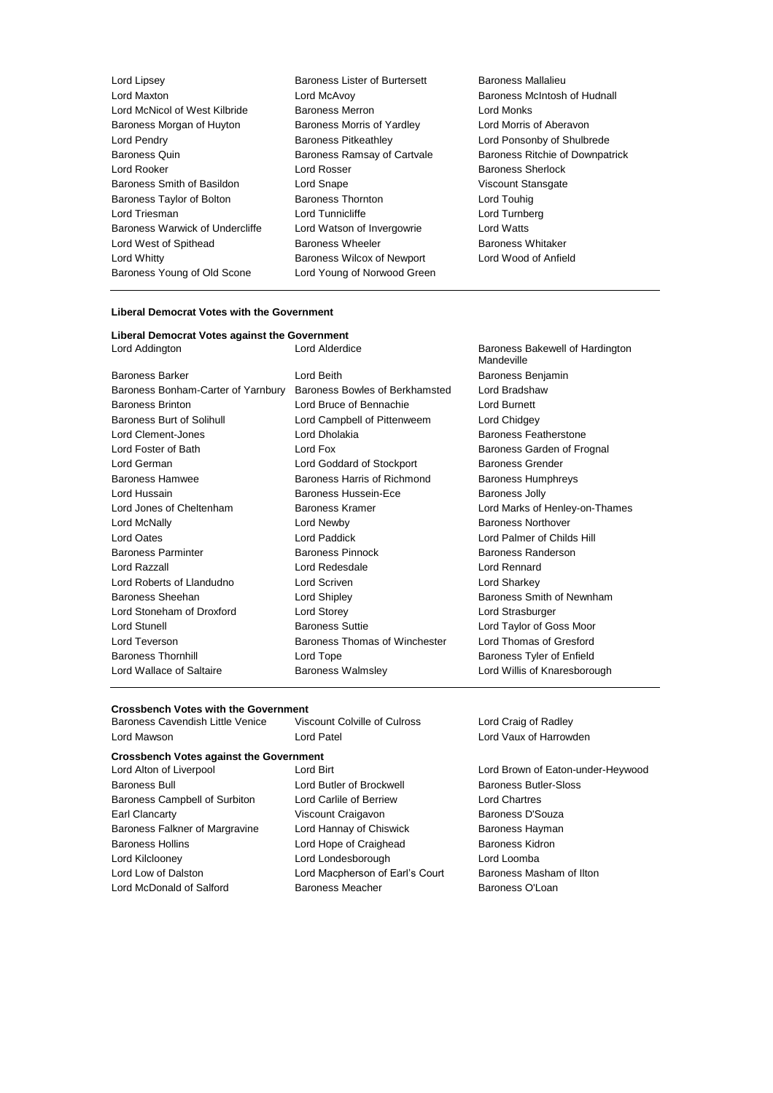| Lord Lipsey                     | Baroness Lister of Burtersett     | Baroness M          |
|---------------------------------|-----------------------------------|---------------------|
| Lord Maxton                     | Lord McAvoy                       | <b>Baroness M</b>   |
| Lord McNicol of West Kilbride   | <b>Baroness Merron</b>            | Lord Monks          |
| Baroness Morgan of Huyton       | Baroness Morris of Yardley        | Lord Morris         |
| Lord Pendry                     | <b>Baroness Pitkeathley</b>       | <b>Lord Ponsor</b>  |
| Baroness Quin                   | Baroness Ramsay of Cartvale       | <b>Baroness Ri</b>  |
| Lord Rooker                     | Lord Rosser                       | <b>Baroness SI</b>  |
| Baroness Smith of Basildon      | Lord Snape                        | <b>Viscount Sta</b> |
| Baroness Taylor of Bolton       | <b>Baroness Thornton</b>          | Lord Touhig         |
| Lord Triesman                   | Lord Tunnicliffe                  | Lord Turnbe         |
| Baroness Warwick of Undercliffe | Lord Watson of Invergowrie        | Lord Watts          |
| Lord West of Spithead           | <b>Baroness Wheeler</b>           | <b>Baroness W</b>   |
| Lord Whitty                     | <b>Baroness Wilcox of Newport</b> | Lord Wood           |
| Baroness Young of Old Scone     | Lord Young of Norwood Green       |                     |
|                                 |                                   |                     |

- s Lister of Burtersett Baroness Mallalieu s Morris of Yardley **Lord Morris of Aberavon Lord Rooker Lord Rooker Lord Rooker Baroness Sherlock** ape **South of Basic Stand Stansgate** Viscount Stansgate s Thornton **Baroness Thornton** Baroness Lord Touhig nicliffe **Lord Turnberg** tson of Invergowrie Lord Watts s Wheeler **Baroness Whitaker** s Wilcox of Newport Lord Wood of Anfield ang of Norwood Green
	- Lord Maxton Lord McAvoy Baroness McIntosh of Hudnall s Pitkeathley **Example 2** Lord Ponsonby of Shulbrede s Ramsay of Cartvale **Baroness Ritchie of Downpatrick**

#### **Liberal Democrat Votes with the Government**

#### **Liberal Democrat Votes against the Government**

| <b>Baroness Barker</b>                      | Lord Beit       |
|---------------------------------------------|-----------------|
| Baroness Bonham-Carter of Yarnbury Baroness |                 |
| <b>Baroness Brinton</b>                     | Lord Bru        |
| <b>Baroness Burt of Solihull</b>            | Lord Can        |
| Lord Clement-Jones                          | Lord Dho        |
| Lord Foster of Bath                         | Lord Fox        |
| Lord German                                 | Lord God        |
| <b>Baroness Hamwee</b>                      | <b>Baroness</b> |
| Lord Hussain                                | <b>Baroness</b> |
| Lord Jones of Cheltenham                    | <b>Baroness</b> |
| Lord McNally                                | Lord New        |
| <b>Lord Oates</b>                           | Lord Pad        |
| <b>Baroness Parminter</b>                   | <b>Baroness</b> |
| Lord Razzall                                | Lord Red        |
| Lord Roberts of Llandudno                   | Lord Scri       |
| Baroness Sheehan                            | Lord Ship       |
| Lord Stoneham of Droxford                   | Lord Stor       |
| Lord Stunell                                | <b>Baroness</b> |
| Lord Teverson                               | <b>Baroness</b> |
| <b>Baroness Thornhill</b>                   | Lord Top        |
| Lord Wallace of Saltaire                    | Baroness        |
|                                             |                 |

Lord Addington Lord Alderdice Baroness Bakewell of Hardington Mandeville Baroness Benjamin Bowles of Berkhamsted Lord Bradshaw Baroness Brinton Lord Bruce of Bennachie Lord Burnett apbell of Pittenweem Lord Chidgey lakia **Clement-Jones Communist Clement** Baroness Featherstone Baroness Garden of Frognal Idard of Stockport Baroness Grender Baroness Humphreys Harris of Richmond Baroness Humphreys Hussein-Ece Baroness Jolly Kramer **Lord Marks of Henley-on-Thames Lord McCloud Communist Communist Communist Communist Communist Communist Communist Communist Communist Communist Communist Communist Communist Communist Communist Communist Communist Communist Communist Communist Communis** Lord Oates Lord Paddick Lord Palmer of Childs Hill Baroness Randerson lesdale **Lord Rennard** ven **Lord Sharkey** bley **Baroness Smith of Newnham** ey **Drowford Contract Lord Strasburger** Suttie **Suttie Lord Taylor of Goss Moor** Thomas of Winchester Lord Thomas of Gresford e Baroness Tyler of Enfield Walmsley **Come Condity** Lord Willis of Knaresborough

#### **Crossbench Votes with the Government**

| Baroness Cavendish Little Venice | Viscount Colville of Culross |
|----------------------------------|------------------------------|
| Lord Mawson                      | Lord Patel                   |

# **Crossbench Votes against the Government**

- Baroness Bull Lord Butler of Brockwell Baroness Butler-Sloss Baroness Campbell of Surbiton Lord Carlile of Berriew Lord Chartres Earl Clancarty **Earl Clancarty** Viscount Craigavon **Baroness D'Souza** Baroness Falkner of Margravine Lord Hannay of Chiswick Baroness Hayman Baroness Hollins **Example 2** Lord Hope of Craighead Baroness Kidron Lord Kilclooney Lord Londesborough Lord Loomba Lord Low of Dalston Lord Macpherson of Earl's Court Baroness Masham of Ilton Lord McDonald of Salford **Baroness Meacher** Baroness O'Loan
- Lord Alton of Liverpool Lord Birt Lord Brown of Eaton-under-Heywood

Lord Craig of Radley Lord Vaux of Harrowden